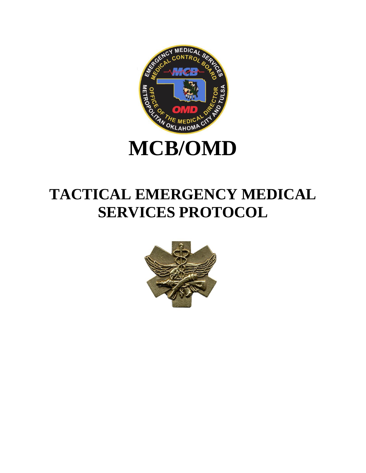

# **MCB/OMD**

# **TACTICAL EMERGENCY MEDICAL SERVICES PROTOCOL**

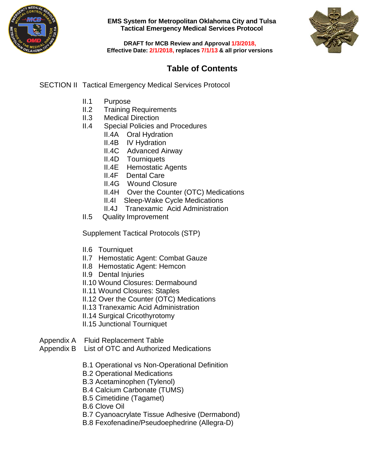



**DRAFT for MCB Review and Approval 1/3/2018, Effective Date: 2/1/2018, replaces 7/1/13 & all prior versions**

### **Table of Contents**

SECTION II Tactical Emergency Medical Services Protocol

- II.1 Purpose
- II.2 Training Requirements
- II.3 Medical Direction
- II.4 Special Policies and Procedures
	- II.4A Oral Hydration
		- II.4B IV Hydration
		- II.4C Advanced Airway
		- II.4D Tourniquets
		- II.4E Hemostatic Agents
		- II.4F Dental Care
		- II.4G Wound Closure
		- II.4H Over the Counter (OTC) Medications
		- II.4I Sleep-Wake Cycle Medications
		- II.4J Tranexamic Acid Administration
- II.5 Quality Improvement

Supplement Tactical Protocols (STP)

- II.6 Tourniquet
- II.7 Hemostatic Agent: Combat Gauze
- II.8 Hemostatic Agent: Hemcon
- II.9 Dental Injuries
- II.10 Wound Closures: Dermabound
- II.11 Wound Closures: Staples
- II.12 Over the Counter (OTC) Medications
- II.13 Tranexamic Acid Administration
- II.14 Surgical Cricothyrotomy
- II.15 Junctional Tourniquet
- Appendix A Fluid Replacement Table
- Appendix B List of OTC and Authorized Medications
	- B.1 Operational vs Non-Operational Definition
	- B.2 Operational Medications
	- B.3 Acetaminophen (Tylenol)
	- B.4 Calcium Carbonate (TUMS)
	- B.5 Cimetidine (Tagamet)
	- B.6 Clove Oil
	- B.7 Cyanoacrylate Tissue Adhesive (Dermabond)
	- B.8 Fexofenadine/Pseudoephedrine (Allegra-D)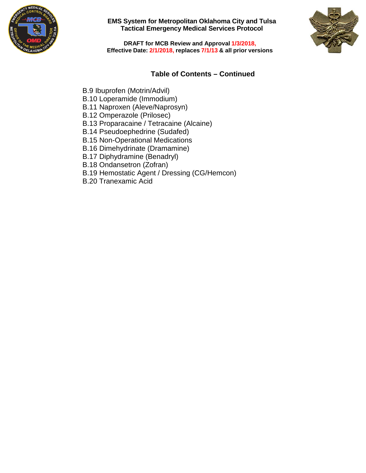



**DRAFT for MCB Review and Approval 1/3/2018, Effective Date: 2/1/2018, replaces 7/1/13 & all prior versions**

### **Table of Contents – Continued**

- B.9 Ibuprofen (Motrin/Advil)
- B.10 Loperamide (Immodium)
- B.11 Naproxen (Aleve/Naprosyn)
- B.12 Omperazole (Prilosec)
- B.13 Proparacaine / Tetracaine (Alcaine)
- B.14 Pseudoephedrine (Sudafed)
- B.15 Non-Operational Medications
- B.16 Dimehydrinate (Dramamine)
- B.17 Diphydramine (Benadryl)
- B.18 Ondansetron (Zofran)
- B.19 Hemostatic Agent / Dressing (CG/Hemcon)
- B.20 Tranexamic Acid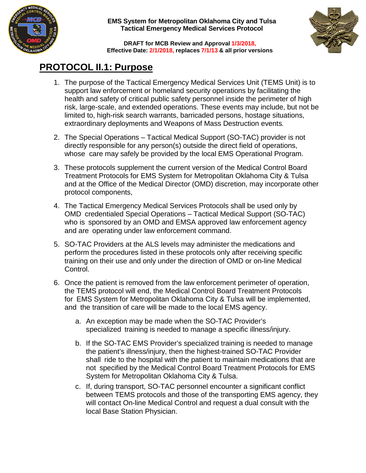



**DRAFT for MCB Review and Approval 1/3/2018, Effective Date: 2/1/2018, replaces 7/1/13 & all prior versions**

## **PROTOCOL II.1: Purpose**

- 1. The purpose of the Tactical Emergency Medical Services Unit (TEMS Unit) is to support law enforcement or homeland security operations by facilitating the health and safety of critical public safety personnel inside the perimeter of high risk, large-scale, and extended operations. These events may include, but not be limited to, high-risk search warrants, barricaded persons, hostage situations, extraordinary deployments and Weapons of Mass Destruction events*.*
- 2. The Special Operations Tactical Medical Support (SO-TAC) provider is not directly responsible for any person(s) outside the direct field of operations, whose care may safely be provided by the local EMS Operational Program.
- 3. These protocols supplement the current version of the Medical Control Board Treatment Protocols for EMS System for Metropolitan Oklahoma City & Tulsa and at the Office of the Medical Director (OMD) discretion, may incorporate other protocol components,
- 4. The Tactical Emergency Medical Services Protocols shall be used only by OMD credentialed Special Operations – Tactical Medical Support (SO-TAC) who is sponsored by an OMD and EMSA approved law enforcement agency and are operating under law enforcement command.
- 5. SO-TAC Providers at the ALS levels may administer the medications and perform the procedures listed in these protocols only after receiving specific training on their use and only under the direction of OMD or on-line Medical Control.
- 6. Once the patient is removed from the law enforcement perimeter of operation, the TEMS protocol will end, the Medical Control Board Treatment Protocols for EMS System for Metropolitan Oklahoma City & Tulsa will be implemented, and the transition of care will be made to the local EMS agency.
	- a. An exception may be made when the SO-TAC Provider's specialized training is needed to manage a specific illness/injury.
	- b. If the SO-TAC EMS Provider's specialized training is needed to manage the patient's illness/injury, then the highest-trained SO-TAC Provider shall ride to the hospital with the patient to maintain medications that are not specified by the Medical Control Board Treatment Protocols for EMS System for Metropolitan Oklahoma City & Tulsa.
	- c. If, during transport, SO-TAC personnel encounter a significant conflict between TEMS protocols and those of the transporting EMS agency, they will contact On-line Medical Control and request a dual consult with the local Base Station Physician.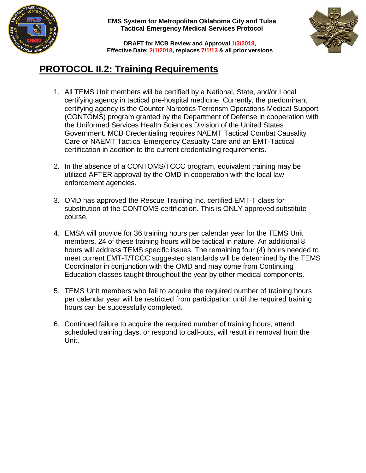



**DRAFT for MCB Review and Approval 1/3/2018, Effective Date: 2/1/2018, replaces 7/1/13 & all prior versions**

# **PROTOCOL II.2: Training Requirements**

- 1. All TEMS Unit members will be certified by a National, State, and/or Local certifying agency in tactical pre-hospital medicine. Currently, the predominant certifying agency is the Counter Narcotics Terrorism Operations Medical Support (CONTOMS) program granted by the Department of Defense in cooperation with the Uniformed Services Health Sciences Division of the United States Government. MCB Credentialing requires NAEMT Tactical Combat Causality Care or NAEMT Tactical Emergency Casualty Care and an EMT-Tactical certification in addition to the current credentialing requirements.
- 2. In the absence of a CONTOMS/TCCC program, equivalent training may be utilized AFTER approval by the OMD in cooperation with the local law enforcement agencies.
- 3. OMD has approved the Rescue Training Inc. certified EMT-T class for substitution of the CONTOMS certification. This is ONLY approved substitute course.
- 4. EMSA will provide for 36 training hours per calendar year for the TEMS Unit members. 24 of these training hours will be tactical in nature. An additional 8 hours will address TEMS specific issues. The remaining four (4) hours needed to meet current EMT-T/TCCC suggested standards will be determined by the TEMS Coordinator in conjunction with the OMD and may come from Continuing Education classes taught throughout the year by other medical components.
- 5. TEMS Unit members who fail to acquire the required number of training hours per calendar year will be restricted from participation until the required training hours can be successfully completed.
- 6. Continued failure to acquire the required number of training hours, attend scheduled training days, or respond to call-outs, will result in removal from the Unit.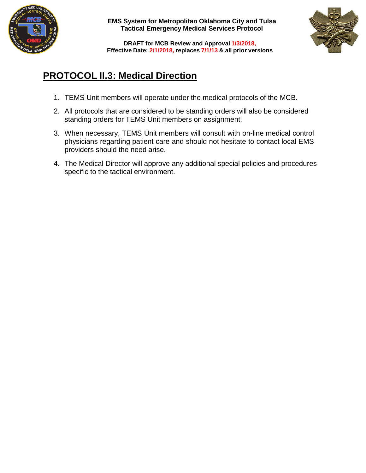



**DRAFT for MCB Review and Approval 1/3/2018, Effective Date: 2/1/2018, replaces 7/1/13 & all prior versions**

# **PROTOCOL II.3: Medical Direction**

- 1. TEMS Unit members will operate under the medical protocols of the MCB.
- 2. All protocols that are considered to be standing orders will also be considered standing orders for TEMS Unit members on assignment.
- 3. When necessary, TEMS Unit members will consult with on-line medical control physicians regarding patient care and should not hesitate to contact local EMS providers should the need arise.
- 4. The Medical Director will approve any additional special policies and procedures specific to the tactical environment.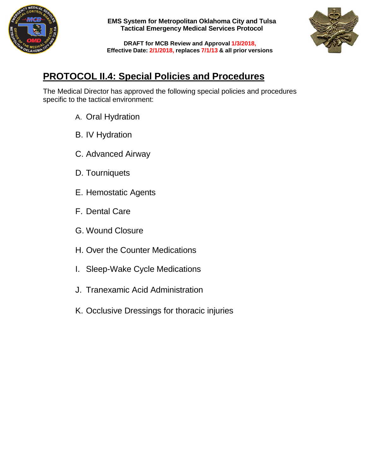



**DRAFT for MCB Review and Approval 1/3/2018, Effective Date: 2/1/2018, replaces 7/1/13 & all prior versions**

# **PROTOCOL II.4: Special Policies and Procedures**

The Medical Director has approved the following special policies and procedures specific to the tactical environment:

- A. Oral Hydration
- B. IV Hydration
- C. Advanced Airway
- D. Tourniquets
- E. Hemostatic Agents
- F. Dental Care
- G. Wound Closure
- H. Over the Counter Medications
- I. Sleep-Wake Cycle Medications
- J. Tranexamic Acid Administration
- K. Occlusive Dressings for thoracic injuries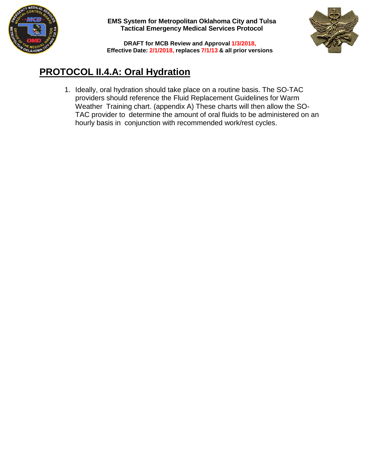



**DRAFT for MCB Review and Approval 1/3/2018, Effective Date: 2/1/2018, replaces 7/1/13 & all prior versions**

# **PROTOCOL II.4.A: Oral Hydration**

1. Ideally, oral hydration should take place on a routine basis. The SO-TAC providers should reference the Fluid Replacement Guidelines for Warm Weather Training chart. (appendix A) These charts will then allow the SO-TAC provider to determine the amount of oral fluids to be administered on an hourly basis in conjunction with recommended work/rest cycles.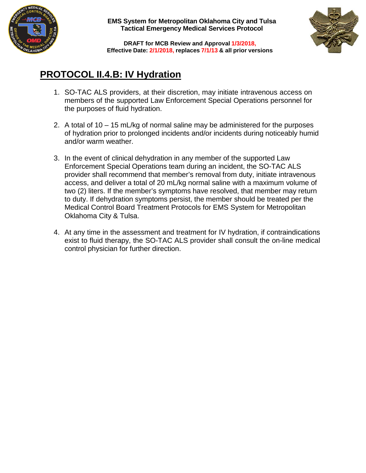



**DRAFT for MCB Review and Approval 1/3/2018, Effective Date: 2/1/2018, replaces 7/1/13 & all prior versions**

# **PROTOCOL II.4.B: IV Hydration**

- 1. SO-TAC ALS providers, at their discretion, may initiate intravenous access on members of the supported Law Enforcement Special Operations personnel for the purposes of fluid hydration.
- 2. A total of 10 15 mL/kg of normal saline may be administered for the purposes of hydration prior to prolonged incidents and/or incidents during noticeably humid and/or warm weather.
- 3. In the event of clinical dehydration in any member of the supported Law Enforcement Special Operations team during an incident, the SO-TAC ALS provider shall recommend that member's removal from duty, initiate intravenous access, and deliver a total of 20 mL/kg normal saline with a maximum volume of two (2) liters. If the member's symptoms have resolved, that member may return to duty. If dehydration symptoms persist, the member should be treated per the Medical Control Board Treatment Protocols for EMS System for Metropolitan Oklahoma City & Tulsa.
- 4. At any time in the assessment and treatment for IV hydration, if contraindications exist to fluid therapy, the SO-TAC ALS provider shall consult the on-line medical control physician for further direction.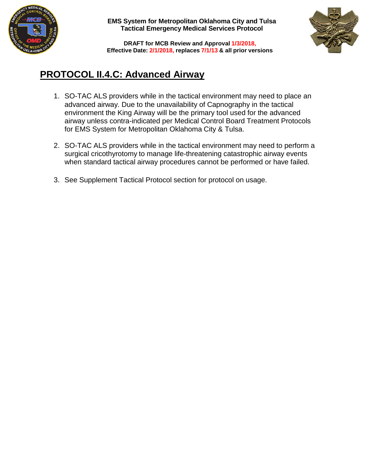



**DRAFT for MCB Review and Approval 1/3/2018, Effective Date: 2/1/2018, replaces 7/1/13 & all prior versions**

# **PROTOCOL II.4.C: Advanced Airway**

- 1. SO-TAC ALS providers while in the tactical environment may need to place an advanced airway. Due to the unavailability of Capnography in the tactical environment the King Airway will be the primary tool used for the advanced airway unless contra-indicated per Medical Control Board Treatment Protocols for EMS System for Metropolitan Oklahoma City & Tulsa.
- 2. SO-TAC ALS providers while in the tactical environment may need to perform a surgical cricothyrotomy to manage life-threatening catastrophic airway events when standard tactical airway procedures cannot be performed or have failed.
- 3. See Supplement Tactical Protocol section for protocol on usage.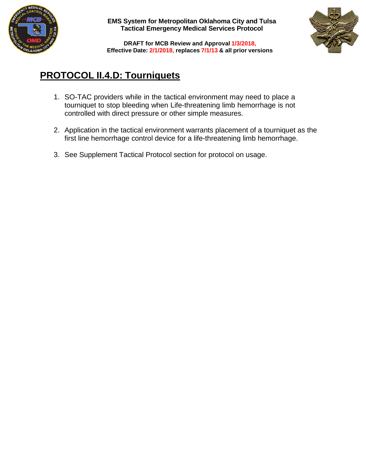



**DRAFT for MCB Review and Approval 1/3/2018, Effective Date: 2/1/2018, replaces 7/1/13 & all prior versions**

# **PROTOCOL II.4.D: Tourniquets**

- 1. SO-TAC providers while in the tactical environment may need to place a tourniquet to stop bleeding when Life-threatening limb hemorrhage is not controlled with direct pressure or other simple measures.
- 2. Application in the tactical environment warrants placement of a tourniquet as the first line hemorrhage control device for a life-threatening limb hemorrhage.
- 3. See Supplement Tactical Protocol section for protocol on usage.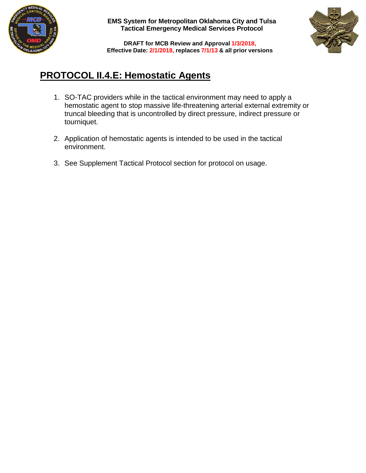



**DRAFT for MCB Review and Approval 1/3/2018, Effective Date: 2/1/2018, replaces 7/1/13 & all prior versions**

# **PROTOCOL II.4.E: Hemostatic Agents**

- 1. SO-TAC providers while in the tactical environment may need to apply a hemostatic agent to stop massive life-threatening arterial external extremity or truncal bleeding that is uncontrolled by direct pressure, indirect pressure or tourniquet.
- 2. Application of hemostatic agents is intended to be used in the tactical environment.
- 3. See Supplement Tactical Protocol section for protocol on usage.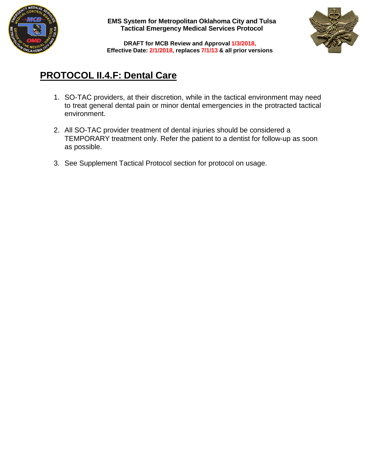



**DRAFT for MCB Review and Approval 1/3/2018, Effective Date: 2/1/2018, replaces 7/1/13 & all prior versions**

# **PROTOCOL II.4.F: Dental Care**

- 1. SO-TAC providers, at their discretion, while in the tactical environment may need to treat general dental pain or minor dental emergencies in the protracted tactical environment.
- 2. All SO-TAC provider treatment of dental injuries should be considered a TEMPORARY treatment only. Refer the patient to a dentist for follow-up as soon as possible.
- 3. See Supplement Tactical Protocol section for protocol on usage.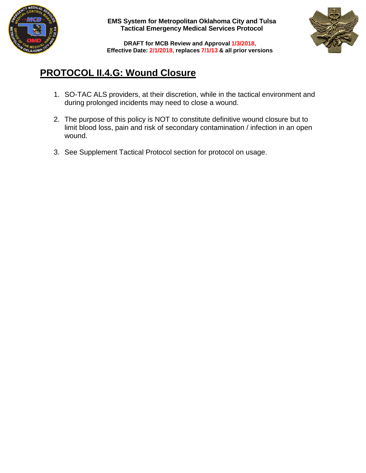



**DRAFT for MCB Review and Approval 1/3/2018, Effective Date: 2/1/2018, replaces 7/1/13 & all prior versions**

# **PROTOCOL II.4.G: Wound Closure**

- 1. SO-TAC ALS providers, at their discretion, while in the tactical environment and during prolonged incidents may need to close a wound.
- 2. The purpose of this policy is NOT to constitute definitive wound closure but to limit blood loss, pain and risk of secondary contamination / infection in an open wound.
- 3. See Supplement Tactical Protocol section for protocol on usage.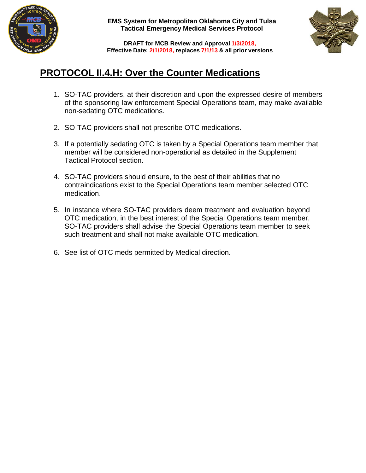



**DRAFT for MCB Review and Approval 1/3/2018, Effective Date: 2/1/2018, replaces 7/1/13 & all prior versions**

# **PROTOCOL II.4.H: Over the Counter Medications**

- 1. SO-TAC providers, at their discretion and upon the expressed desire of members of the sponsoring law enforcement Special Operations team, may make available non-sedating OTC medications.
- 2. SO-TAC providers shall not prescribe OTC medications.
- 3. If a potentially sedating OTC is taken by a Special Operations team member that member will be considered non-operational as detailed in the Supplement Tactical Protocol section.
- 4. SO-TAC providers should ensure, to the best of their abilities that no contraindications exist to the Special Operations team member selected OTC medication.
- 5. In instance where SO-TAC providers deem treatment and evaluation beyond OTC medication, in the best interest of the Special Operations team member, SO-TAC providers shall advise the Special Operations team member to seek such treatment and shall not make available OTC medication.
- 6. See list of OTC meds permitted by Medical direction.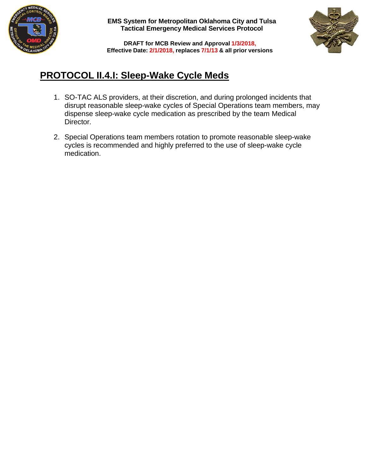



**DRAFT for MCB Review and Approval 1/3/2018, Effective Date: 2/1/2018, replaces 7/1/13 & all prior versions**

# **PROTOCOL II.4.I: Sleep-Wake Cycle Meds**

- 1. SO-TAC ALS providers, at their discretion, and during prolonged incidents that disrupt reasonable sleep-wake cycles of Special Operations team members, may dispense sleep-wake cycle medication as prescribed by the team Medical Director.
- 2. Special Operations team members rotation to promote reasonable sleep-wake cycles is recommended and highly preferred to the use of sleep-wake cycle medication.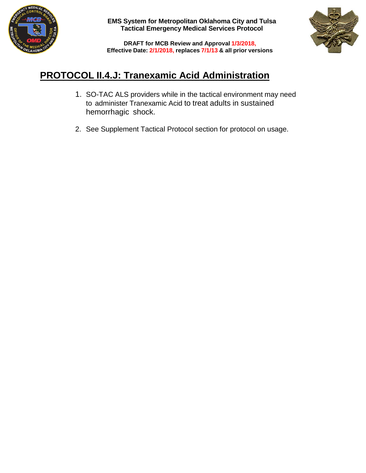



**DRAFT for MCB Review and Approval 1/3/2018, Effective Date: 2/1/2018, replaces 7/1/13 & all prior versions**

# **PROTOCOL II.4.J: Tranexamic Acid Administration**

- 1. SO-TAC ALS providers while in the tactical environment may need to administer Tranexamic Acid to treat adults in sustained hemorrhagic shock.
- 2. See Supplement Tactical Protocol section for protocol on usage.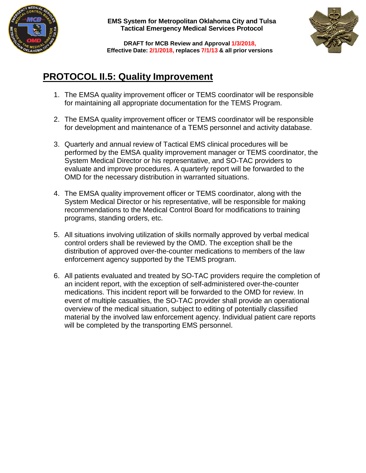



**DRAFT for MCB Review and Approval 1/3/2018, Effective Date: 2/1/2018, replaces 7/1/13 & all prior versions**

# **PROTOCOL II.5: Quality Improvement**

- 1. The EMSA quality improvement officer or TEMS coordinator will be responsible for maintaining all appropriate documentation for the TEMS Program.
- 2. The EMSA quality improvement officer or TEMS coordinator will be responsible for development and maintenance of a TEMS personnel and activity database.
- 3. Quarterly and annual review of Tactical EMS clinical procedures will be performed by the EMSA quality improvement manager or TEMS coordinator, the System Medical Director or his representative, and SO-TAC providers to evaluate and improve procedures. A quarterly report will be forwarded to the OMD for the necessary distribution in warranted situations.
- 4. The EMSA quality improvement officer or TEMS coordinator, along with the System Medical Director or his representative, will be responsible for making recommendations to the Medical Control Board for modifications to training programs, standing orders, etc.
- 5. All situations involving utilization of skills normally approved by verbal medical control orders shall be reviewed by the OMD. The exception shall be the distribution of approved over-the-counter medications to members of the law enforcement agency supported by the TEMS program.
- 6. All patients evaluated and treated by SO-TAC providers require the completion of an incident report, with the exception of self-administered over-the-counter medications. This incident report will be forwarded to the OMD for review. In event of multiple casualties, the SO-TAC provider shall provide an operational overview of the medical situation, subject to editing of potentially classified material by the involved law enforcement agency. Individual patient care reports will be completed by the transporting EMS personnel.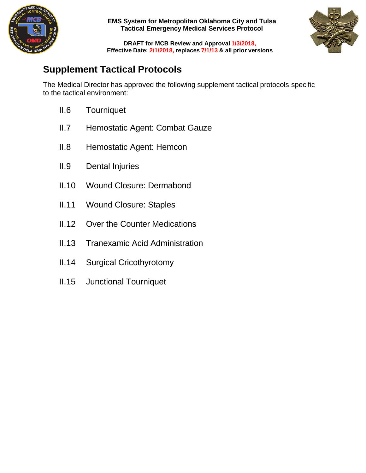



**DRAFT for MCB Review and Approval 1/3/2018, Effective Date: 2/1/2018, replaces 7/1/13 & all prior versions**

# **Supplement Tactical Protocols**

The Medical Director has approved the following supplement tactical protocols specific to the tactical environment:

- II.6 Tourniquet
- II.7 Hemostatic Agent: Combat Gauze
- II.8 Hemostatic Agent: Hemcon
- II.9 Dental Injuries
- II.10 Wound Closure: Dermabond
- II.11 Wound Closure: Staples
- II.12 Over the Counter Medications
- II.13 Tranexamic Acid Administration
- II.14 Surgical Cricothyrotomy
- II.15 Junctional Tourniquet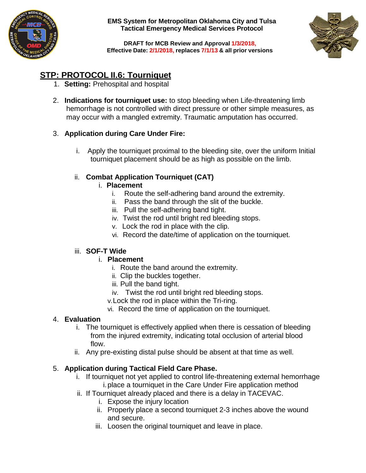



**DRAFT for MCB Review and Approval 1/3/2018, Effective Date: 2/1/2018, replaces 7/1/13 & all prior versions**

### **STP: PROTOCOL II.6: Tourniquet**

- 1. **Setting:** Prehospital and hospital
- 2. **Indications for tourniquet use:** to stop bleeding when Life-threatening limb hemorrhage is not controlled with direct pressure or other simple measures, as may occur with a mangled extremity. Traumatic amputation has occurred.

### 3. **Application during Care Under Fire:**

i. Apply the tourniquet proximal to the bleeding site, over the uniform Initial tourniquet placement should be as high as possible on the limb.

### ii. **Combat Application Tourniquet (CAT)**

### i. **Placement**

- i. Route the self-adhering band around the extremity.
- ii. Pass the band through the slit of the buckle.
- iii. Pull the self-adhering band tight.
- iv. Twist the rod until bright red bleeding stops.
- v. Lock the rod in place with the clip.
- vi. Record the date/time of application on the tourniquet.

### iii. **SOF-T Wide**

### i. **Placement**

- i. Route the band around the extremity.
- ii. Clip the buckles together.
- iii. Pull the band tight.
- iv. Twist the rod until bright red bleeding stops.
- v.Lock the rod in place within the Tri-ring.
- vi. Record the time of application on the tourniquet.

### 4. **Evaluation**

- i. The tourniquet is effectively applied when there is cessation of bleeding from the injured extremity, indicating total occlusion of arterial blood flow.
- ii. Any pre-existing distal pulse should be absent at that time as well.

### 5. **Application during Tactical Field Care Phase.**

- i. If tourniquet not yet applied to control life-threatening external hemorrhage i.place a tourniquet in the Care Under Fire application method
- ii. If Tourniquet already placed and there is a delay in TACEVAC.
	- i. Expose the injury location
	- ii. Properly place a second tourniquet 2-3 inches above the wound and secure.
	- iii. Loosen the original tourniquet and leave in place.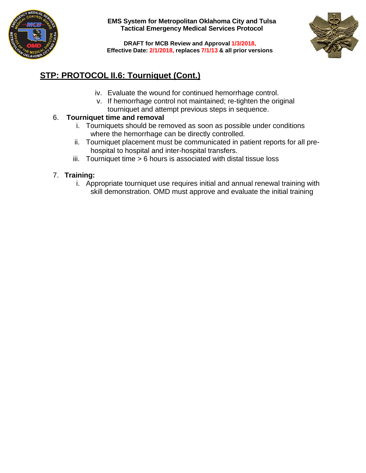



**DRAFT for MCB Review and Approval 1/3/2018, Effective Date: 2/1/2018, replaces 7/1/13 & all prior versions**

### **STP: PROTOCOL II.6: Tourniquet (Cont.)**

- iv. Evaluate the wound for continued hemorrhage control.
- v. If hemorrhage control not maintained; re-tighten the original tourniquet and attempt previous steps in sequence.

### 6. **Tourniquet time and removal**

- i. Tourniquets should be removed as soon as possible under conditions where the hemorrhage can be directly controlled.
- ii. Tourniquet placement must be communicated in patient reports for all prehospital to hospital and inter-hospital transfers.
- iii. Tourniquet time > 6 hours is associated with distal tissue loss

### 7. **Training:**

i. Appropriate tourniquet use requires initial and annual renewal training with skill demonstration. OMD must approve and evaluate the initial training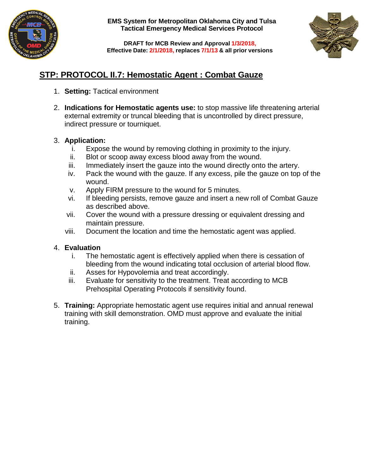



**DRAFT for MCB Review and Approval 1/3/2018, Effective Date: 2/1/2018, replaces 7/1/13 & all prior versions**

### **STP: PROTOCOL II.7: Hemostatic Agent : Combat Gauze**

- 1. **Setting:** Tactical environment
- 2. **Indications for Hemostatic agents use:** to stop massive life threatening arterial external extremity or truncal bleeding that is uncontrolled by direct pressure, indirect pressure or tourniquet.

### 3. **Application:**

- i. Expose the wound by removing clothing in proximity to the injury.
- ii. Blot or scoop away excess blood away from the wound.
- iii. Immediately insert the gauze into the wound directly onto the artery.
- iv. Pack the wound with the gauze. If any excess, pile the gauze on top of the wound.
- v. Apply FIRM pressure to the wound for 5 minutes.
- vi. If bleeding persists, remove gauze and insert a new roll of Combat Gauze as described above.
- vii. Cover the wound with a pressure dressing or equivalent dressing and maintain pressure.
- viii. Document the location and time the hemostatic agent was applied.

- i. The hemostatic agent is effectively applied when there is cessation of bleeding from the wound indicating total occlusion of arterial blood flow.
- ii. Asses for Hypovolemia and treat accordingly.
- iii. Evaluate for sensitivity to the treatment. Treat according to MCB Prehospital Operating Protocols if sensitivity found.
- 5. **Training:** Appropriate hemostatic agent use requires initial and annual renewal training with skill demonstration. OMD must approve and evaluate the initial training.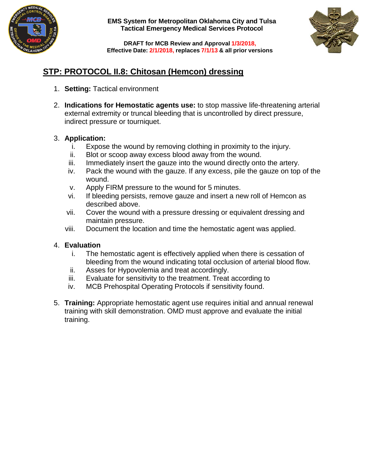



**DRAFT for MCB Review and Approval 1/3/2018, Effective Date: 2/1/2018, replaces 7/1/13 & all prior versions**

### **STP: PROTOCOL II.8: Chitosan (Hemcon) dressing**

- 1. **Setting:** Tactical environment
- 2. **Indications for Hemostatic agents use:** to stop massive life-threatening arterial external extremity or truncal bleeding that is uncontrolled by direct pressure, indirect pressure or tourniquet.

### 3. **Application:**

- i. Expose the wound by removing clothing in proximity to the injury.
- ii. Blot or scoop away excess blood away from the wound.
- iii. Immediately insert the gauze into the wound directly onto the artery.
- iv. Pack the wound with the gauze. If any excess, pile the gauze on top of the wound.
- v. Apply FIRM pressure to the wound for 5 minutes.
- vi. If bleeding persists, remove gauze and insert a new roll of Hemcon as described above.
- vii. Cover the wound with a pressure dressing or equivalent dressing and maintain pressure.
- viii. Document the location and time the hemostatic agent was applied.

- i. The hemostatic agent is effectively applied when there is cessation of bleeding from the wound indicating total occlusion of arterial blood flow.
- ii. Asses for Hypovolemia and treat accordingly.
- iii. Evaluate for sensitivity to the treatment. Treat according to
- iv. MCB Prehospital Operating Protocols if sensitivity found.
- 5. **Training:** Appropriate hemostatic agent use requires initial and annual renewal training with skill demonstration. OMD must approve and evaluate the initial training.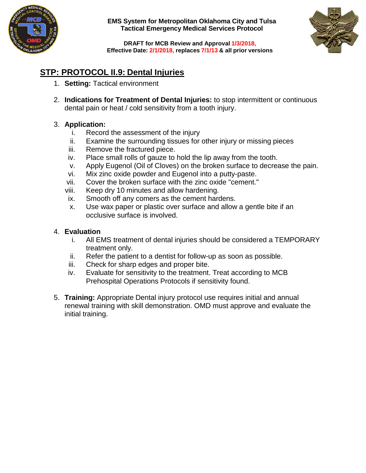



**DRAFT for MCB Review and Approval 1/3/2018, Effective Date: 2/1/2018, replaces 7/1/13 & all prior versions**

### **STP: PROTOCOL II.9: Dental Injuries**

- 1. **Setting:** Tactical environment
- 2. **Indications for Treatment of Dental Injuries:** to stop intermittent or continuous dental pain or heat / cold sensitivity from a tooth injury.

### 3. **Application:**

- i. Record the assessment of the injury
- ii. Examine the surrounding tissues for other injury or missing pieces
- iii. Remove the fractured piece.
- iv. Place small rolls of gauze to hold the lip away from the tooth.
- v. Apply Eugenol (Oil of Cloves) on the broken surface to decrease the pain.
- vi. Mix zinc oxide powder and Eugenol into a putty-paste.
- vii. Cover the broken surface with the zinc oxide "cement."
- viii. Keep dry 10 minutes and allow hardening.
- ix. Smooth off any comers as the cement hardens.
- x. Use wax paper or plastic over surface and allow a gentle bite if an occlusive surface is involved.

- i. All EMS treatment of dental injuries should be considered a TEMPORARY treatment only.
- ii. Refer the patient to a dentist for follow-up as soon as possible.
- iii. Check for sharp edges and proper bite.
- iv. Evaluate for sensitivity to the treatment. Treat according to MCB Prehospital Operations Protocols if sensitivity found.
- 5. **Training:** Appropriate Dental injury protocol use requires initial and annual renewal training with skill demonstration. OMD must approve and evaluate the initial training.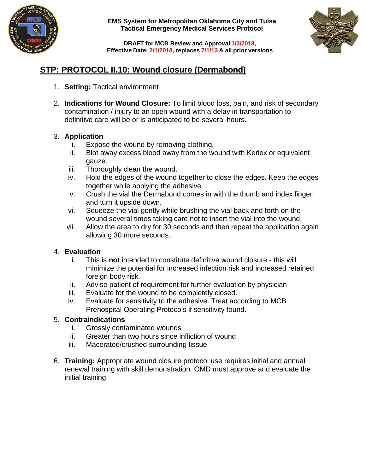



**DRAFT for MCB Review and Approval 1/3/2018, Effective Date: 2/1/2018, replaces 7/1/13 & all prior versions**

### **STP: PROTOCOL II.10: Wound closure (Dermabond)**

- 1. **Setting:** Tactical environment
- 2. **Indications for Wound Closure:** To limit blood loss, pain, and risk of secondary contamination / injury to an open wound with a delay in transportation to definitive care will be or is anticipated to be several hours.

### 3. **Application**

- i. Expose the wound by removing clothing.
- ii. Blot away excess blood away from the wound with Kerlex or equivalent gauze.
- iii. Thoroughly clean the wound.
- iv. Hold the edges of the wound together to close the edges. Keep the edges together while applying the adhesive
- v. Crush the vial the Dermabond comes in with the thumb and index finger and turn it upside down.
- vi. Squeeze the vial gently while brushing the vial back and forth on the wound several times taking care not to insert the vial into the wound.
- vii. Allow the area to dry for 30 seconds and then repeat the application again allowing 30 more seconds.

### 4. **Evaluation**

- i. This is **not** intended to constitute definitive wound closure this will minimize the potential for increased infection risk and increased retained foreign body risk.
- ii. Advise patient of requirement for further evaluation by physician
- iii. Evaluate for the wound to be completely closed.
- iv. Evaluate for sensitivity to the adhesive. Treat according to MCB Prehospital Operating Protocols if sensitivity found.

### 5. **Contraindications**

- i. Grossly contaminated wounds
- ii. Greater than two hours since infliction of wound
- iii. Macerated/crushed surrounding tissue
- 6. **Training:** Appropriate wound closure protocol use requires initial and annual renewal training with skill demonstration. OMD must approve and evaluate the initial training.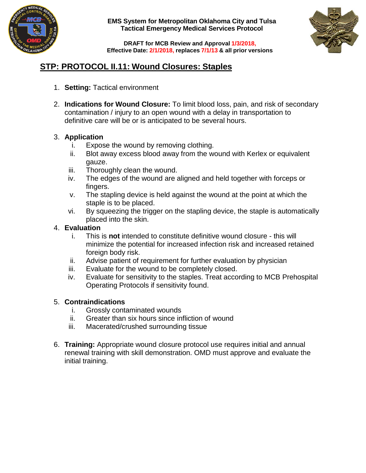



**DRAFT for MCB Review and Approval 1/3/2018, Effective Date: 2/1/2018, replaces 7/1/13 & all prior versions**

### **STP: PROTOCOL II.11: Wound Closures: Staples**

- 1. **Setting:** Tactical environment
- 2. **Indications for Wound Closure:** To limit blood loss, pain, and risk of secondary contamination / injury to an open wound with a delay in transportation to definitive care will be or is anticipated to be several hours.

### 3. **Application**

- i. Expose the wound by removing clothing.
- ii. Blot away excess blood away from the wound with Kerlex or equivalent gauze.
- iii. Thoroughly clean the wound.
- iv. The edges of the wound are aligned and held together with forceps or fingers.
- v. The stapling device is held against the wound at the point at which the staple is to be placed.
- vi. By squeezing the trigger on the stapling device, the staple is automatically placed into the skin.

### 4. **Evaluation**

- i. This is **not** intended to constitute definitive wound closure this will minimize the potential for increased infection risk and increased retained foreign body risk.
- ii. Advise patient of requirement for further evaluation by physician
- iii. Evaluate for the wound to be completely closed.
- iv. Evaluate for sensitivity to the staples. Treat according to MCB Prehospital Operating Protocols if sensitivity found.

### 5. **Contraindications**

- i. Grossly contaminated wounds
- ii. Greater than six hours since infliction of wound
- iii. Macerated/crushed surrounding tissue
- 6. **Training:** Appropriate wound closure protocol use requires initial and annual renewal training with skill demonstration. OMD must approve and evaluate the initial training.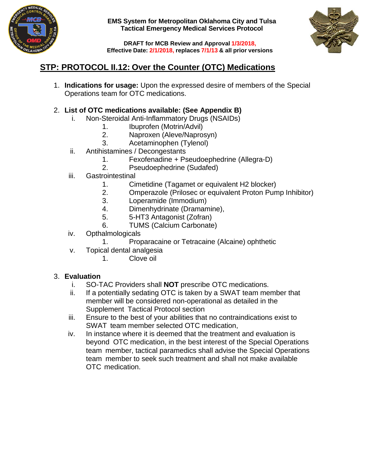



**DRAFT for MCB Review and Approval 1/3/2018, Effective Date: 2/1/2018, replaces 7/1/13 & all prior versions**

### **STP: PROTOCOL II.12: Over the Counter (OTC) Medications**

1. **Indications for usage:** Upon the expressed desire of members of the Special Operations team for OTC medications.

### 2. **List of OTC medications available: (See Appendix B)**

- i. Non-Steroidal Anti-Inflammatory Drugs (NSAIDs)
	- 1. Ibuprofen (Motrin/Advil)<br>2. Naproxen (Aleve/Napros
		- 2. Naproxen (Aleve/Naprosyn)
	- 3. Acetaminophen (Tylenol)
- ii. Antihistamines / Decongestants
	- 1. Fexofenadine + Pseudoephedrine (Allegra-D)
	- 2. Pseudoephedrine (Sudafed)
- iii. Gastrointestinal
	- 1. Cimetidine (Tagamet or equivalent H2 blocker)
	- 2. Omperazole (Prilosec or equivalent Proton Pump Inhibitor)
	- 3. Loperamide (Immodium)
	- 4. Dimenhydrinate (Dramamine),
	- 5. 5-HT3 Antagonist (Zofran)
	- 6. TUMS (Calcium Carbonate)
- iv. Opthalmologicals
	- 1. Proparacaine or Tetracaine (Alcaine) ophthetic
- v. Topical dental analgesia
	- 1. Clove oil

- i. SO-TAC Providers shall **NOT** prescribe OTC medications.
- If a potentially sedating OTC is taken by a SWAT team member that member will be considered non-operational as detailed in the Supplement Tactical Protocol section
- iii. Ensure to the best of your abilities that no contraindications exist to SWAT team member selected OTC medication,
- iv. In instance where it is deemed that the treatment and evaluation is beyond OTC medication, in the best interest of the Special Operations team member, tactical paramedics shall advise the Special Operations team member to seek such treatment and shall not make available OTC medication.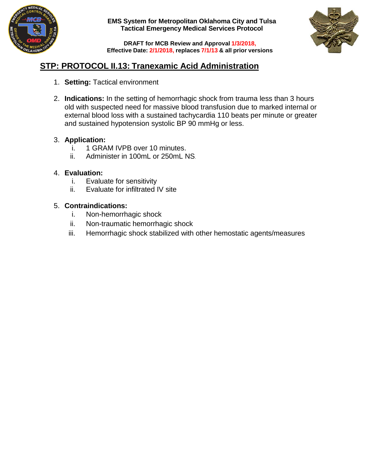



**DRAFT for MCB Review and Approval 1/3/2018, Effective Date: 2/1/2018, replaces 7/1/13 & all prior versions**

### **STP: PROTOCOL II.13: Tranexamic Acid Administration**

- 1. **Setting:** Tactical environment
- 2. **Indications:** In the setting of hemorrhagic shock from trauma less than 3 hours old with suspected need for massive blood transfusion due to marked internal or external blood loss with a sustained tachycardia 110 beats per minute or greater and sustained hypotension systolic BP 90 mmHg or less.

### 3. **Application:**

- i. 1 GRAM IVPB over 10 minutes.
- ii. Administer in 100mL or 250mL NS.

### 4. **Evaluation:**

- i. Evaluate for sensitivity
- ii. Evaluate for infiltrated IV site

### 5. **Contraindications:**

- i. Non-hemorrhagic shock
- ii. Non-traumatic hemorrhagic shock
- iii. Hemorrhagic shock stabilized with other hemostatic agents/measures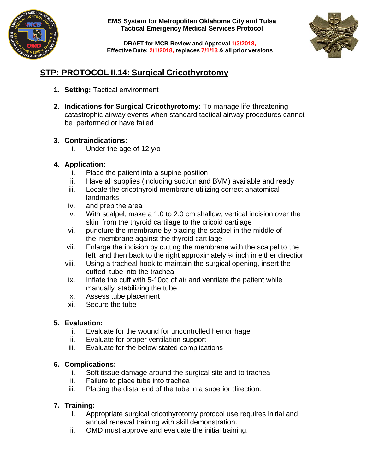



**DRAFT for MCB Review and Approval 1/3/2018, Effective Date: 2/1/2018, replaces 7/1/13 & all prior versions**

### **STP: PROTOCOL II.14: Surgical Cricothyrotomy**

- **1. Setting:** Tactical environment
- **2. Indications for Surgical Cricothyrotomy:** To manage life-threatening catastrophic airway events when standard tactical airway procedures cannot be performed or have failed

### **3. Contraindications:**

i. Under the age of 12 y/o

### **4. Application:**

- i. Place the patient into a supine position
- ii. Have all supplies (including suction and BVM) available and ready
- iii. Locate the cricothyroid membrane utilizing correct anatomical landmarks
- iv. and prep the area
- v. With scalpel, make a 1.0 to 2.0 cm shallow, vertical incision over the skin from the thyroid cartilage to the cricoid cartilage
- vi. puncture the membrane by placing the scalpel in the middle of the membrane against the thyroid cartilage
- vii. Enlarge the incision by cutting the membrane with the scalpel to the left and then back to the right approximately  $\frac{1}{4}$  inch in either direction
- viii. Using a tracheal hook to maintain the surgical opening, insert the cuffed tube into the trachea
- ix. Inflate the cuff with 5-10cc of air and ventilate the patient while manually stabilizing the tube
- x. Assess tube placement
- xi. Secure the tube

### **5. Evaluation:**

- i. Evaluate for the wound for uncontrolled hemorrhage
- ii. Evaluate for proper ventilation support
- iii. Evaluate for the below stated complications

### **6. Complications:**

- i. Soft tissue damage around the surgical site and to trachea
- ii. Failure to place tube into trachea
- iii. Placing the distal end of the tube in a superior direction.

### **7. Training:**

- i. Appropriate surgical cricothyrotomy protocol use requires initial and annual renewal training with skill demonstration.
- ii. OMD must approve and evaluate the initial training.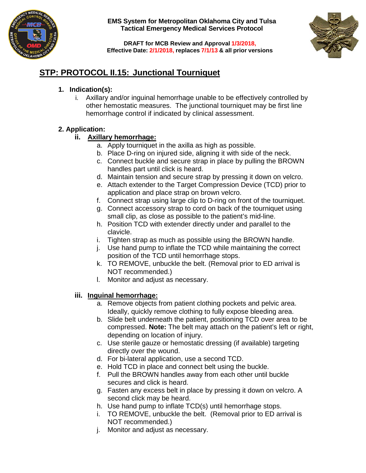



**DRAFT for MCB Review and Approval 1/3/2018, Effective Date: 2/1/2018, replaces 7/1/13 & all prior versions**

### **STP: PROTOCOL II.15: Junctional Tourniquet**

### **1. Indication(s):**

i. Axillary and/or inguinal hemorrhage unable to be effectively controlled by other hemostatic measures. The junctional tourniquet may be first line hemorrhage control if indicated by clinical assessment.

### **2. Application:**

### **ii. Axillary hemorrhage:**

- a. Apply tourniquet in the axilla as high as possible.
- b. Place D-ring on injured side, aligning it with side of the neck.
- c. Connect buckle and secure strap in place by pulling the BROWN handles part until click is heard.
- d. Maintain tension and secure strap by pressing it down on velcro.
- e. Attach extender to the Target Compression Device (TCD) prior to application and place strap on brown velcro.
- f. Connect strap using large clip to D-ring on front of the tourniquet.
- g. Connect accessory strap to cord on back of the tourniquet using small clip, as close as possible to the patient's mid-line.
- h. Position TCD with extender directly under and parallel to the clavicle.
- i. Tighten strap as much as possible using the BROWN handle.
- j. Use hand pump to inflate the TCD while maintaining the correct position of the TCD until hemorrhage stops.
- k. TO REMOVE, unbuckle the belt. (Removal prior to ED arrival is NOT recommended.)
- l. Monitor and adjust as necessary.

### **iii. Inguinal hemorrhage:**

- a. Remove objects from patient clothing pockets and pelvic area. Ideally, quickly remove clothing to fully expose bleeding area.
- b. Slide belt underneath the patient, positioning TCD over area to be compressed. **Note:** The belt may attach on the patient's left or right, depending on location of injury.
- c. Use sterile gauze or hemostatic dressing (if available) targeting directly over the wound.
- d. For bi-lateral application, use a second TCD.
- e. Hold TCD in place and connect belt using the buckle.
- f. Pull the BROWN handles away from each other until buckle secures and click is heard.
- g. Fasten any excess belt in place by pressing it down on velcro. A second click may be heard.
- h. Use hand pump to inflate TCD(s) until hemorrhage stops.
- i. TO REMOVE, unbuckle the belt. (Removal prior to ED arrival is NOT recommended.)
- j. Monitor and adjust as necessary.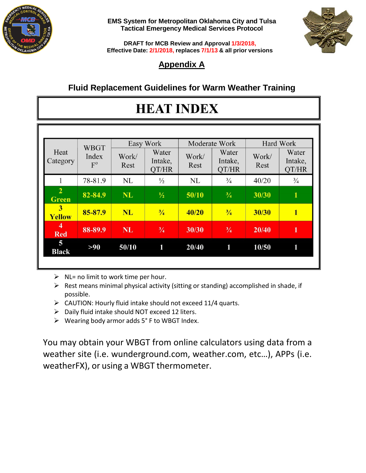



**DRAFT for MCB Review and Approval 1/3/2018, Effective Date: 2/1/2018, replaces 7/1/13 & all prior versions**

## **Appendix A**

### **Fluid Replacement Guidelines for Warm Weather Training**

# **HEAT INDEX**

| Heat<br>Category               | <b>WBGT</b><br>Index<br>$F^0$ | Easy Work     |                           | Moderate Work |                           | Hard Work     |                           |
|--------------------------------|-------------------------------|---------------|---------------------------|---------------|---------------------------|---------------|---------------------------|
|                                |                               | Work/<br>Rest | Water<br>Intake,<br>QT/HR | Work/<br>Rest | Water<br>Intake,<br>QT/HR | Work/<br>Rest | Water<br>Intake,<br>QT/HR |
|                                | 78-81.9                       | <b>NL</b>     | $\frac{1}{2}$             | NL            | $^{3}/_{4}$               | 40/20         | $^{3}/_{4}$               |
| $\overline{2}$<br><b>Green</b> | 82-84.9                       | <b>NL</b>     | $\frac{1}{2}$             | 50/10         | $\frac{3}{4}$             | 30/30         | $\mathbf{1}$              |
| 3<br>Yellow                    | 85-87.9                       | <b>NL</b>     | $\frac{3}{4}$             | 40/20         | $\frac{3}{4}$             | 30/30         | $\mathbf{1}$              |
| 4<br><b>Red</b>                | 88-89.9                       | <b>NL</b>     | $^{3}/_{4}$               | 30/30         | $\frac{3}{4}$             | 20/40         | 1                         |
| 5<br><b>Black</b>              | >90                           | 50/10         | 1                         | 20/40         | 1                         | 10/50         | 1                         |

- $\triangleright$  NL= no limit to work time per hour.
- $\triangleright$  Rest means minimal physical activity (sitting or standing) accomplished in shade, if possible.
- $\triangleright$  CAUTION: Hourly fluid intake should not exceed 11/4 quarts.
- $\triangleright$  Daily fluid intake should NOT exceed 12 liters.
- Wearing body armor adds 5° F to WBGT Index.

You may obtain your WBGT from online calculators using data from a weather site (i.e. wunderground.com, weather.com, etc…), APPs (i.e. weatherFX), or using a WBGT thermometer.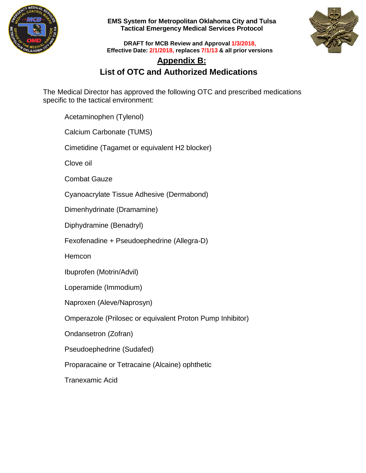



**DRAFT for MCB Review and Approval 1/3/2018, Effective Date: 2/1/2018, replaces 7/1/13 & all prior versions**

## **Appendix B: List of OTC and Authorized Medications**

The Medical Director has approved the following OTC and prescribed medications specific to the tactical environment:

Acetaminophen (Tylenol)

Calcium Carbonate (TUMS)

Cimetidine (Tagamet or equivalent H2 blocker)

Clove oil

Combat Gauze

Cyanoacrylate Tissue Adhesive (Dermabond)

Dimenhydrinate (Dramamine)

Diphydramine (Benadryl)

Fexofenadine + Pseudoephedrine (Allegra-D)

**Hemcon** 

Ibuprofen (Motrin/Advil)

Loperamide (Immodium)

Naproxen (Aleve/Naprosyn)

Omperazole (Prilosec or equivalent Proton Pump Inhibitor)

Ondansetron (Zofran)

Pseudoephedrine (Sudafed)

Proparacaine or Tetracaine (Alcaine) ophthetic

Tranexamic Acid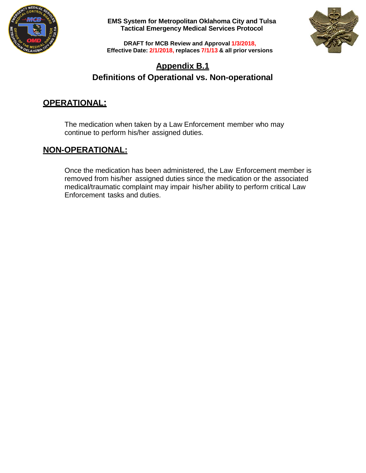



**DRAFT for MCB Review and Approval 1/3/2018, Effective Date: 2/1/2018, replaces 7/1/13 & all prior versions**

### **Appendix B.1 Definitions of Operational vs. Non-operational**

### **OPERATIONAL:**

The medication when taken by a Law Enforcement member who may continue to perform his/her assigned duties.

### **NON-OPERATIONAL:**

Once the medication has been administered, the Law Enforcement member is removed from his/her assigned duties since the medication or the associated medical/traumatic complaint may impair his/her ability to perform critical Law Enforcement tasks and duties.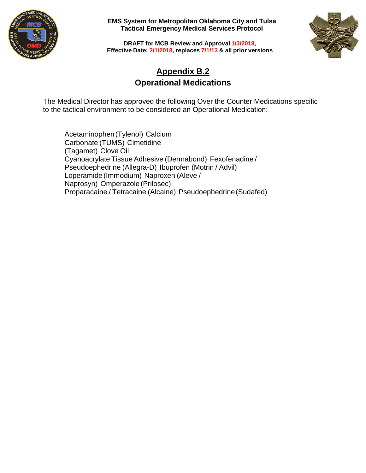



**DRAFT for MCB Review and Approval 1/3/2018, Effective Date: 2/1/2018, replaces 7/1/13 & all prior versions**

### **Appendix B.2 Operational Medications**

The Medical Director has approved the following Over the Counter Medications specific to the tactical environment to be considered an Operational Medication:

Acetaminophen(Tylenol) Calcium Carbonate (TUMS) Cimetidine (Tagamet) Clove Oil Cyanoacrylate Tissue Adhesive (Dermabond) Fexofenadine / Pseudoephedrine (Allegra-D) Ibuprofen (Motrin / Advil) Loperamide (Immodium) Naproxen (Aleve / Naprosyn) Omperazole (Prilosec) Proparacaine / Tetracaine (Alcaine) Pseudoephedrine(Sudafed)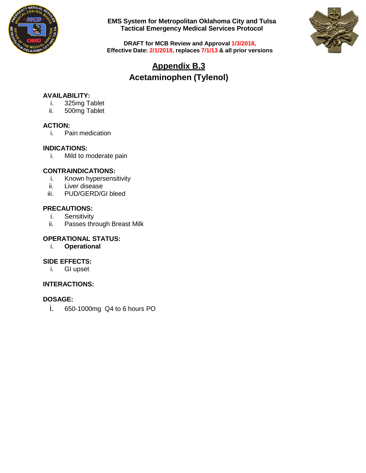



**DRAFT for MCB Review and Approval 1/3/2018, Effective Date: 2/1/2018, replaces 7/1/13 & all prior versions**

## **Appendix B.3 Acetaminophen (Tylenol)**

### **AVAILABILITY:**

- i. 325mg Tablet
- ii. 500mg Tablet

### **ACTION:**

i. Pain medication

### **INDICATIONS:**

i. Mild to moderate pain

### **CONTRAINDICATIONS:**

- i. Known hypersensitivity
- ii. Liver disease<br>iii. PUD/GERD/C
- PUD/GERD/GI bleed

### **PRECAUTIONS:**

- i. Sensitivity<br>ii. Passes thr
- Passes through Breast Milk

### **OPERATIONAL STATUS:**

i. **Operational**

### **SIDE EFFECTS:**

i. GI upset

### **INTERACTIONS:**

### **DOSAGE:**

i. 650-1000mg Q4 to 6 hours PO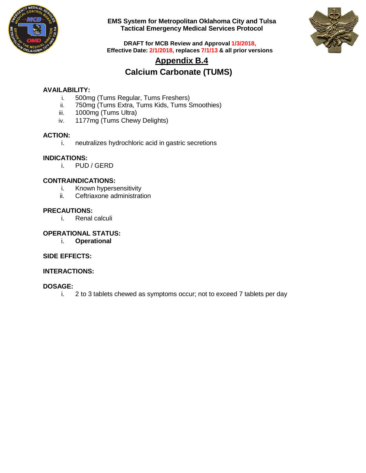



**DRAFT for MCB Review and Approval 1/3/2018, Effective Date: 2/1/2018, replaces 7/1/13 & all prior versions**

### **Appendix B.4 Calcium Carbonate (TUMS)**

### **AVAILABILITY:**

- i. 500mg (Tums Regular, Tums Freshers)
- ii. 750mg (Tums Extra, Tums Kids, Tums Smoothies)
- iii. 1000mg (Tums Ultra)
- iv. 1177mg (Tums Chewy Delights)

# **ACTION:**

neutralizes hydrochloric acid in gastric secretions

### **INDICATIONS:**

i. PUD / GERD

### **CONTRAINDICATIONS:**

- i. Known hypersensitivity<br>ii. Ceftriaxone administrat
- Ceftriaxone administration

### **PRECAUTIONS:**

i. Renal calculi

#### **OPERATIONAL STATUS:**

i. **Operational**

### **SIDE EFFECTS:**

### **INTERACTIONS:**

### **DOSAGE:**

i. 2 to 3 tablets chewed as symptoms occur; not to exceed 7 tablets per day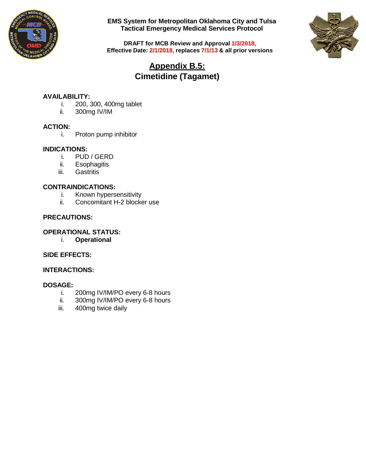



**DRAFT for MCB Review and Approval 1/3/2018, Effective Date: 2/1/2018, replaces 7/1/13 & all prior versions**

## **Appendix B.5: Cimetidine (Tagamet)**

### **AVAILABILITY:**

- i. 200, 300, 400mg tablet ii. 300mg IV/IM
- 300mg IV/IM

### **ACTION:**

i. Proton pump inhibitor

### **INDICATIONS:**

- i. PUD / GERD<br>ii. Esophagitis
- ii. Esophagitis<br>iii. Gastritis
- Gastritis

### **CONTRAINDICATIONS:**

- i. Known hypersensitivity
- ii. Concomitant H-2 blocker use

### **PRECAUTIONS:**

### **OPERATIONAL STATUS:**

i. **Operational**

### **SIDE EFFECTS:**

### **INTERACTIONS:**

- 200mg IV/IM/PO every 6-8 hours
- ii. 300mg IV/IM/PO every 6-8 hours
- iii. 400mg twice daily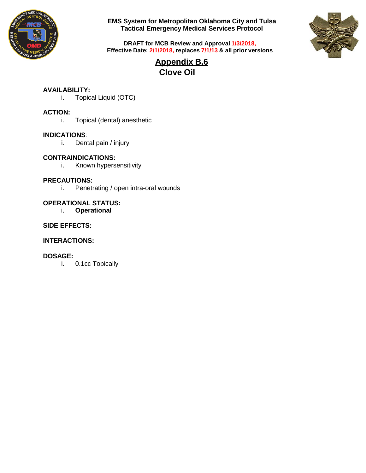



**DRAFT for MCB Review and Approval 1/3/2018, Effective Date: 2/1/2018, replaces 7/1/13 & all prior versions**

> **Appendix B.6 Clove Oil**

### **AVAILABILITY:**

i. Topical Liquid (OTC)

### **ACTION:**

i. Topical (dental) anesthetic

#### **INDICATIONS**:

i. Dental pain / injury

### **CONTRAINDICATIONS:**

i. Known hypersensitivity

#### **PRECAUTIONS:**

i. Penetrating / open intra-oral wounds

# **OPERATIONAL STATUS:**

i. **Operational**

### **SIDE EFFECTS:**

### **INTERACTIONS:**

### **DOSAGE:**

i. 0.1cc Topically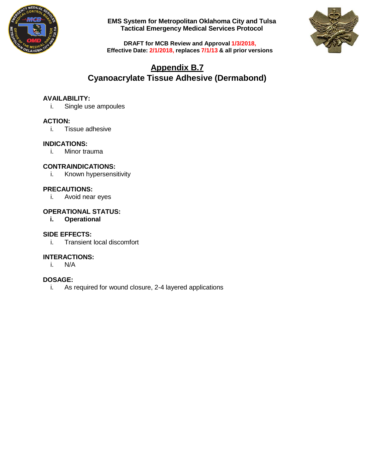



**DRAFT for MCB Review and Approval 1/3/2018, Effective Date: 2/1/2018, replaces 7/1/13 & all prior versions**

### **Appendix B.7 Cyanoacrylate Tissue Adhesive (Dermabond)**

### **AVAILABILITY:**

i. Single use ampoules

### **ACTION:**

i. Tissue adhesive

### **INDICATIONS:**

i. Minor trauma

### **CONTRAINDICATIONS:**

i. Known hypersensitivity

### **PRECAUTIONS:**

i. Avoid near eyes

### **OPERATIONAL STATUS:**

**i. Operational**

### **SIDE EFFECTS:**

i. Transient local discomfort

### **INTERACTIONS:**

i. N/A

### **DOSAGE:**

i. As required for wound closure, 2-4 layered applications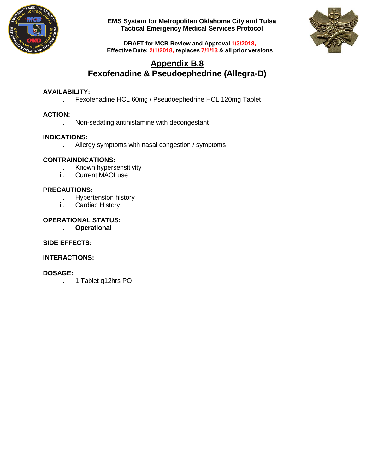



**DRAFT for MCB Review and Approval 1/3/2018, Effective Date: 2/1/2018, replaces 7/1/13 & all prior versions**

### **Appendix B.8 Fexofenadine & Pseudoephedrine (Allegra-D)**

### **AVAILABILITY:**

i. Fexofenadine HCL 60mg / Pseudoephedrine HCL 120mg Tablet

### **ACTION:**

i. Non-sedating antihistamine with decongestant

### **INDICATIONS:**

i. Allergy symptoms with nasal congestion / symptoms

### **CONTRAINDICATIONS:**

- i. Known hypersensitivity
- ii. Current MAOI use

### **PRECAUTIONS:**

- i. Hypertension history
- ii. Cardiac History

### **OPERATIONAL STATUS:**

i. **Operational**

### **SIDE EFFECTS:**

### **INTERACTIONS:**

### **DOSAGE:**

i. 1 Tablet q12hrs PO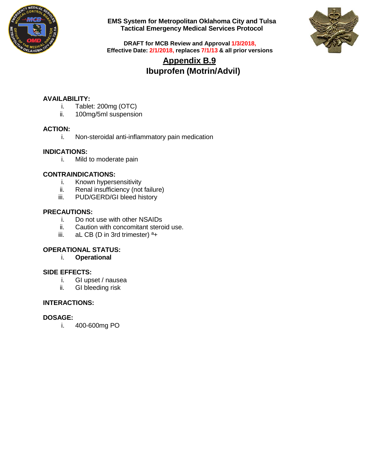



**DRAFT for MCB Review and Approval 1/3/2018, Effective Date: 2/1/2018, replaces 7/1/13 & all prior versions**

## **Appendix B.9 Ibuprofen (Motrin/Advil)**

### **AVAILABILITY:**

- i. Tablet: 200mg (OTC)
- ii. 100mg/5ml suspension

### **ACTION:**

i. Non-steroidal anti-inflammatory pain medication

### **INDICATIONS:**

i. Mild to moderate pain

### **CONTRAINDICATIONS:**

- i. Known hypersensitivity
- ii. Renal insufficiency (not failure)<br>iii. PUD/GERD/GI bleed history
- PUD/GERD/GI bleed history

### **PRECAUTIONS:**

- i. Do not use with other NSAIDs<br>ii. Caution with concomitant sterc
- Caution with concomitant steroid use.
- iii. aL CB (D in 3rd trimester)  $a_{+}$

### **OPERATIONAL STATUS:**

i. **Operational**

# **SIDE EFFECTS:**<br>*i.* GI ups

- GI upset / nausea
- ii. GI bleeding risk

### **INTERACTIONS:**

### **DOSAGE:**

i. 400-600mg PO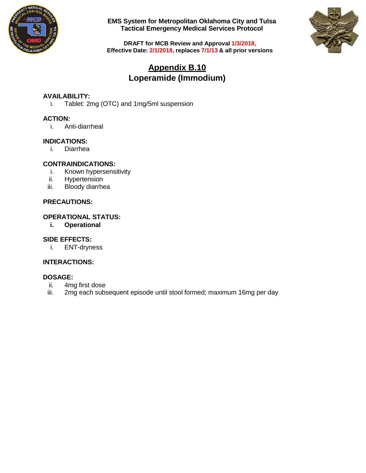



**DRAFT for MCB Review and Approval 1/3/2018, Effective Date: 2/1/2018, replaces 7/1/13 & all prior versions**

### **Appendix B.10 Loperamide (Immodium)**

### **AVAILABILITY:**

i. Tablet: 2mg (OTC) and 1mg/5ml suspension

### **ACTION:**

i. Anti-diarrheal

### **INDICATIONS:**

i. Diarrhea

### **CONTRAINDICATIONS:**

- i. Known hypersensitivity<br>ii. Hypertension
- Hypertension
- iii. Bloody diarrhea

### **PRECAUTIONS:**

### **OPERATIONAL STATUS:**

**i. Operational**

### **SIDE EFFECTS:**

i. ENT-dryness

### **INTERACTIONS:**

- ii. 4mg first dose<br>iii. 2mg each subs
- 2mg each subsequent episode until stool formed; maximum 16mg per day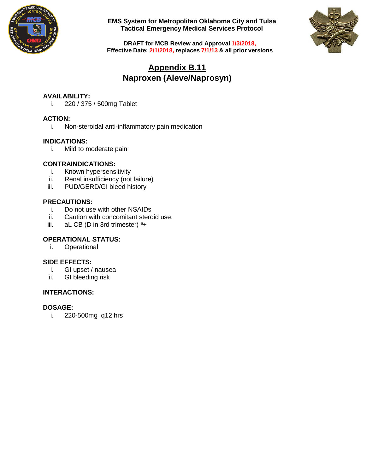



**DRAFT for MCB Review and Approval 1/3/2018, Effective Date: 2/1/2018, replaces 7/1/13 & all prior versions**

### **Appendix B.11 Naproxen (Aleve/Naprosyn)**

### **AVAILABILITY:**

i. 220 / 375 / 500mg Tablet

### **ACTION:**

i. Non-steroidal anti-inflammatory pain medication

### **INDICATIONS:**

i. Mild to moderate pain

### **CONTRAINDICATIONS:**

- i. Known hypersensitivity<br>ii. Renal insufficiency (not
- Renal insufficiency (not failure)
- iii. PUD/GERD/GI bleed history

### **PRECAUTIONS:**

- i. Do not use with other NSAIDs<br>ii. Caution with concomitant sterc
- ii. Caution with concomitant steroid use.<br>iii. aL CB (D in 3rd trimester)  $a_{+}$
- aL CB (D in 3rd trimester)  $a_{+}$

### **OPERATIONAL STATUS:**

i. Operational

### **SIDE EFFECTS:**

- i. GI upset / nausea
- ii. GI bleeding risk

### **INTERACTIONS:**

### **DOSAGE:**

i. 220-500mg q12 hrs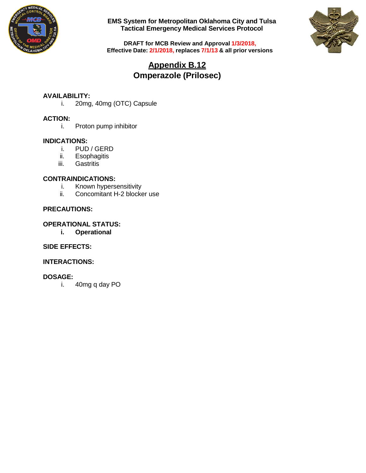



**DRAFT for MCB Review and Approval 1/3/2018, Effective Date: 2/1/2018, replaces 7/1/13 & all prior versions**

## **Appendix B.12 Omperazole (Prilosec)**

# **AVAILABILITY:**

20mg, 40mg (OTC) Capsule

### **ACTION:**

i. Proton pump inhibitor

# **INDICATIONS:**

- PUD / GERD
- ii. Esophagitis
- iii. Gastritis

### **CONTRAINDICATIONS:**

- i. Known hypersensitivity<br>ii. Concomitant H-2 blocke
- Concomitant H-2 blocker use

### **PRECAUTIONS:**

### **OPERATIONAL STATUS:**

**i. Operational**

### **SIDE EFFECTS:**

### **INTERACTIONS:**

### **DOSAGE:**

i. 40mg q day PO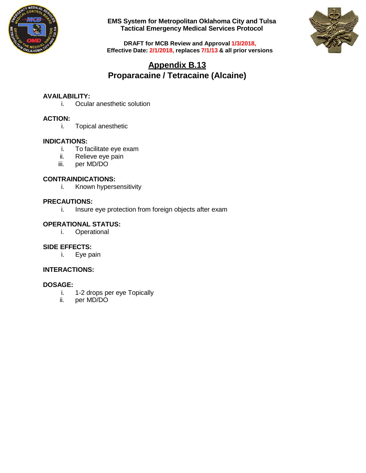



**DRAFT for MCB Review and Approval 1/3/2018, Effective Date: 2/1/2018, replaces 7/1/13 & all prior versions**

## **Appendix B.13 Proparacaine / Tetracaine (Alcaine)**

### **AVAILABILITY:**

i. Ocular anesthetic solution

### **ACTION:**

i. Topical anesthetic

#### **INDICATIONS:**

- i. To facilitate eye exam
- ii. Relieve eye pain<br>iii. per MD/DO
- per MD/DO

#### **CONTRAINDICATIONS:**

i. Known hypersensitivity

### **PRECAUTIONS:**

i. Insure eye protection from foreign objects after exam

### **OPERATIONAL STATUS:**

i. Operational

### **SIDE EFFECTS:**

i. Eye pain

### **INTERACTIONS:**

- i. 1-2 drops per eye Topically<br>ii. per MD/DO
- per MD/DO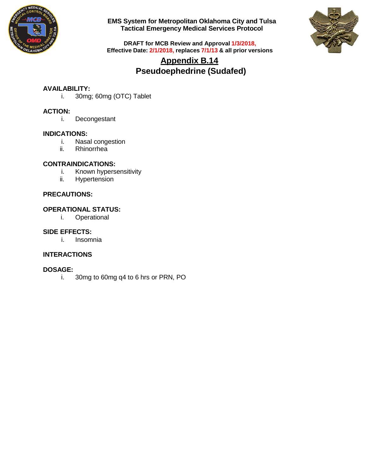



**DRAFT for MCB Review and Approval 1/3/2018, Effective Date: 2/1/2018, replaces 7/1/13 & all prior versions**

### **Appendix B.14 Pseudoephedrine (Sudafed)**

### **AVAILABILITY:**

i. 30mg; 60mg (OTC) Tablet

### **ACTION:**

i. Decongestant

### **INDICATIONS:**

- i. Nasal congestion
- ii. Rhinorrhea

### **CONTRAINDICATIONS:**

- i. Known hypersensitivity
- ii. Hypertension

### **PRECAUTIONS:**

### **OPERATIONAL STATUS:**

i. Operational

### **SIDE EFFECTS:**

i. Insomnia

### **INTERACTIONS**

### **DOSAGE:**

i. 30mg to 60mg q4 to 6 hrs or PRN, PO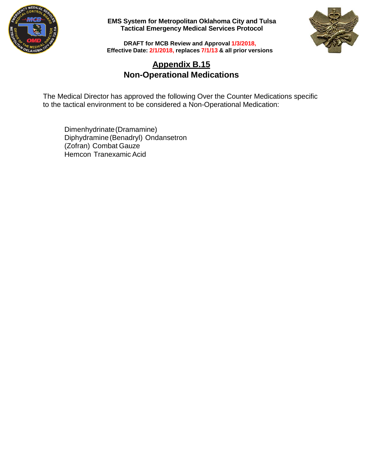



**DRAFT for MCB Review and Approval 1/3/2018, Effective Date: 2/1/2018, replaces 7/1/13 & all prior versions**

### **Appendix B.15 Non-Operational Medications**

The Medical Director has approved the following Over the Counter Medications specific to the tactical environment to be considered a Non-Operational Medication:

Dimenhydrinate(Dramamine) Diphydramine(Benadryl) Ondansetron (Zofran) Combat Gauze Hemcon Tranexamic Acid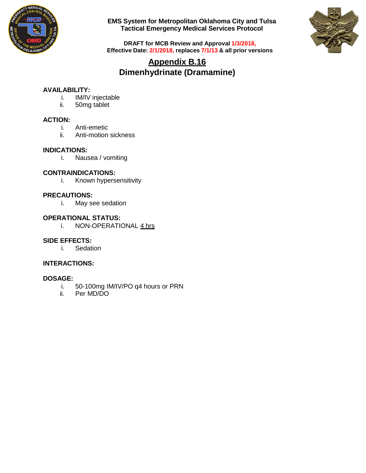



**DRAFT for MCB Review and Approval 1/3/2018, Effective Date: 2/1/2018, replaces 7/1/13 & all prior versions**

### **Appendix B.16 Dimenhydrinate (Dramamine)**

### **AVAILABILITY:**

- i. IM/IV injectable<br>ii. 50mg tablet
- 50mg tablet

### **ACTION:**

- i. Anti-emetic
- Anti-motion sickness

### **INDICATIONS:**

i. Nausea / vomiting

### **CONTRAINDICATIONS:**

i. Known hypersensitivity

### **PRECAUTIONS:**

i. May see sedation

### **OPERATIONAL STATUS:**

i. NON-OPERATIONAL 4 hrs

### **SIDE EFFECTS:**

i. Sedation

### **INTERACTIONS:**

- i. 50-100mg IM/IV/PO q4 hours or PRN<br>ii. Per MD/DO
- Per MD/DO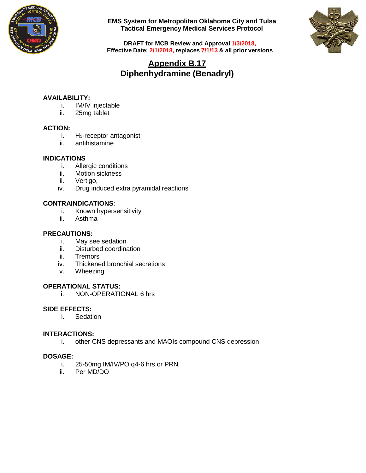



**DRAFT for MCB Review and Approval 1/3/2018, Effective Date: 2/1/2018, replaces 7/1/13 & all prior versions**

### **Appendix B.17 Diphenhydramine (Benadryl)**

### **AVAILABILITY:**

- i. IM/IV injectable<br>ii. 25mg tablet
- 25mg tablet

### **ACTION:**

- i. H<sub>1</sub>-receptor antagonist
- ii. antihistamine

### **INDICATIONS**

- i. Allergic conditions
- ii. Motion sickness
- iii. Vertigo,
- iv. Drug induced extra pyramidal reactions

### **CONTRAINDICATIONS**:

- i. Known hypersensitivity
- ii. Asthma

### **PRECAUTIONS:**

- i. May see sedation<br>ii. Disturbed coordina
- ii. Disturbed coordination<br>iii. Tremors
- **Tremors**
- iv. Thickened bronchial secretions
- v. Wheezing

### **OPERATIONAL STATUS:**

i. NON-OPERATIONAL 6 hrs

### **SIDE EFFECTS:**

i. Sedation

### **INTERACTIONS:**

i. other CNS depressants and MAOIs compound CNS depression

- i. 25-50mg IM/IV/PO q4-6 hrs or PRN<br>ii. Per MD/DO
- Per MD/DO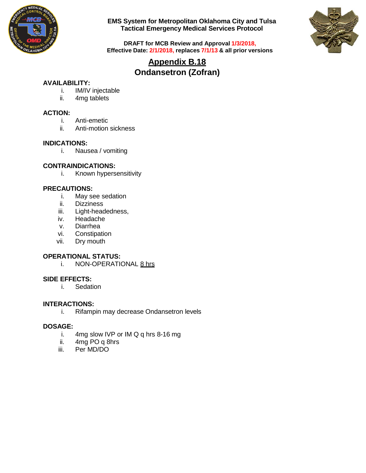



**DRAFT for MCB Review and Approval 1/3/2018, Effective Date: 2/1/2018, replaces 7/1/13 & all prior versions**

### **Appendix B.18 Ondansetron (Zofran)**

### **AVAILABILITY:**

- i. IM/IV injectable
- ii. 4mg tablets

### **ACTION:**

- i. Anti-emetic
- ii. Anti-motion sickness

#### **INDICATIONS:**

i. Nausea / vomiting

### **CONTRAINDICATIONS:**

i. Known hypersensitivity

### **PRECAUTIONS:**

- i. May see sedation
- ii. Dizziness
- iii. Light-headedness,
- iv. Headache
- v. Diarrhea
- vi. Constipation
- vii. Dry mouth

### **OPERATIONAL STATUS:**

i. NON-OPERATIONAL 8 hrs

### **SIDE EFFECTS:**

i. Sedation

### **INTERACTIONS:**

i. Rifampin may decrease Ondansetron levels

- i. 4mg slow IVP or IM Q q hrs 8-16 mg<br>ii. 4mg PO q 8hrs
- 4mg PO q 8hrs
- iii. Per MD/DO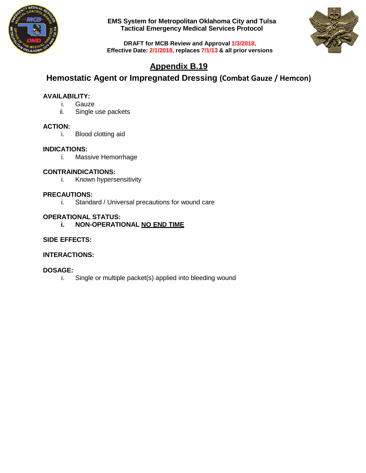



**DRAFT for MCB Review and Approval 1/3/2018, Effective Date: 2/1/2018, replaces 7/1/13 & all prior versions**

## **Appendix B.19**

### **Hemostatic Agent or Impregnated Dressing (Combat Gauze / Hemcon)**

### **AVAILABILITY:**

- i. Gauze
- ii. Single use packets

### **ACTION:**

i. Blood clotting aid

### **INDICATIONS:**

i. Massive Hemorrhage

### **CONTRAINDICATIONS:**

i. Known hypersensitivity

### **PRECAUTIONS:**

i. Standard / Universal precautions for wound care

### **OPERATIONAL STATUS:**

**i. NON-OPERATIONAL NO END TIME**

### **SIDE EFFECTS:**

### **INTERACTIONS:**

### **DOSAGE:**

i. Single or multiple packet(s) applied into bleeding wound